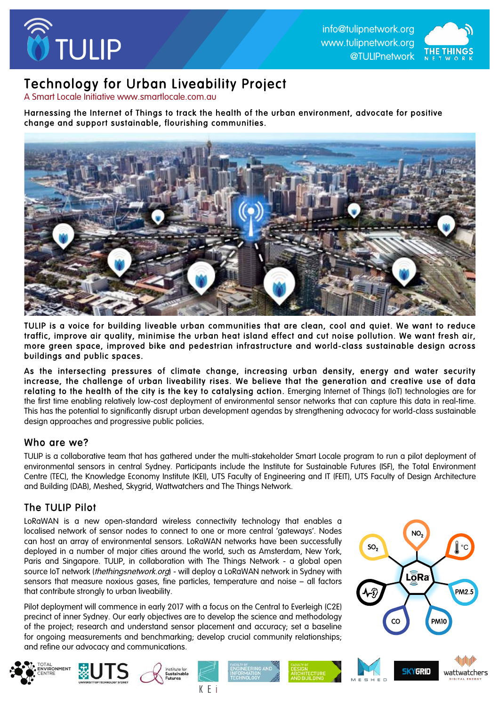



# Technology for Urban Liveability Project<br>A Smart Locale Initiative www.smartlocale.com.au

Harnessing the Internet of Things to track the health of the urban environment, advocate for positive change and support sustainable, flourishing communities.



TULIP is a voice for building liveable urban communities that are clean, cool and quiet. We want to reduce traffic, improve air quality, minimise the urban heat island effect and cut noise pollution. We want fresh air, more green space, improved bike and pedestrian infrastructure and world-class sustainable design across buildings and public spaces.

As the intersecting pressures of climate change, increasing urban density, energy and water security increase, the challenge of urban liveability rises. We believe that the generation and creative use of data relating to the health of the city is the key to catalysing action. Emerging Internet of Things (IoT) technologies are for the first time enabling relatively low-cost deployment of environmental sensor networks that can capture this data in real-time. This has the potential to significantly disrupt urban development agendas by strengthening advocacy for world-class sustainable design approaches and progressive public policies.

### Who are we?

TULIP is a collaborative team that has gathered under the multi-stakeholder Smart Locale program to run a pilot deployment of environmental sensors in central Sydney. Participants include the Institute for Sustainable Futures (ISF), the Total Environment Centre (TEC), the Knowledge Economy Institute (KEI), UTS Faculty of Engineering and IT (FEIT), UTS Faculty of Design Architecture and Building (DAB), Meshed, Skygrid, Wattwatchers and The Things Network.

### The TULIP Pilot

FAL<br>**/IRONMENT**<br>'<del>T</del>PE

LoRaWAN is a new open-standard wireless connectivity technology that enables a localised network of sensor nodes to connect to one or more central 'agteways'. Nodes can host an array of environmental sensors. LoRaWAN networks have been successfully deployed in a number of major cities around the world, such as Amsterdam, New York, Paris and Singapore. TULIP, in collaboration with The Things Network - a global open source IoT network (*thethingsnetwork.org*) - will deploy a LoRaWAN network in Sydney with sensors that measure noxious gases, fine particles, temperature and noise – all factors that contribute strongly to urban liveability.

Pilot deployment will commence in early 2017 with a focus on the Central to Everleigh (C2E) precinct of inner Sydney. Our early objectives are to develop the science and methodology of the project; research and understand sensor placement and accuracy; set a baseline for ongoing measurements and benchmarking; develop crucial community relationships; and refine our advocacy and communications.

 $K$  F i

Institute fo